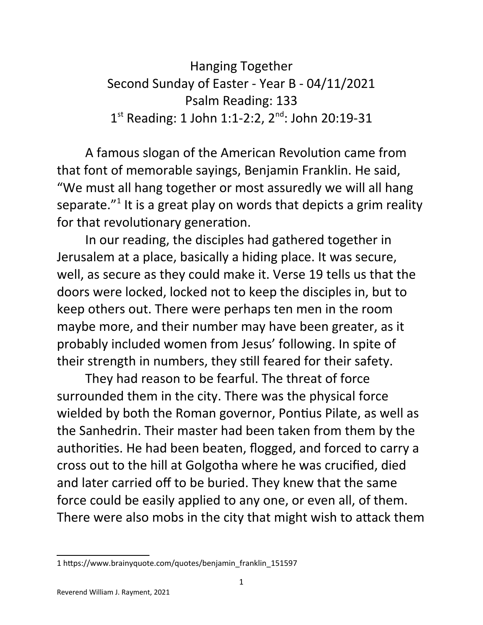Hanging Together Second Sunday of Easter - Year B - 04/11/2021 Psalm Reading: 133 1<sup>st</sup> Reading: 1 John 1:1-2:2, 2<sup>nd</sup>: John 20:19-31

A famous slogan of the American Revolution came from that font of memorable sayings, Benjamin Franklin. He said, "We must all hang together or most assuredly we will all hang separate."<sup>[1](#page-0-0)</sup> It is a great play on words that depicts a grim reality for that revolutionary generation.

In our reading, the disciples had gathered together in Jerusalem at a place, basically a hiding place. It was secure, well, as secure as they could make it. Verse 19 tells us that the doors were locked, locked not to keep the disciples in, but to keep others out. There were perhaps ten men in the room maybe more, and their number may have been greater, as it probably included women from Jesus' following. In spite of their strength in numbers, they still feared for their safety.

They had reason to be fearful. The threat of force surrounded them in the city. There was the physical force wielded by both the Roman governor, Pontius Pilate, as well as the Sanhedrin. Their master had been taken from them by the authorities. He had been beaten, flogged, and forced to carry a cross out to the hill at Golgotha where he was crucified, died and later carried off to be buried. They knew that the same force could be easily applied to any one, or even all, of them. There were also mobs in the city that might wish to attack them

<span id="page-0-0"></span><sup>1</sup> https://www.brainyquote.com/quotes/benjamin\_franklin\_151597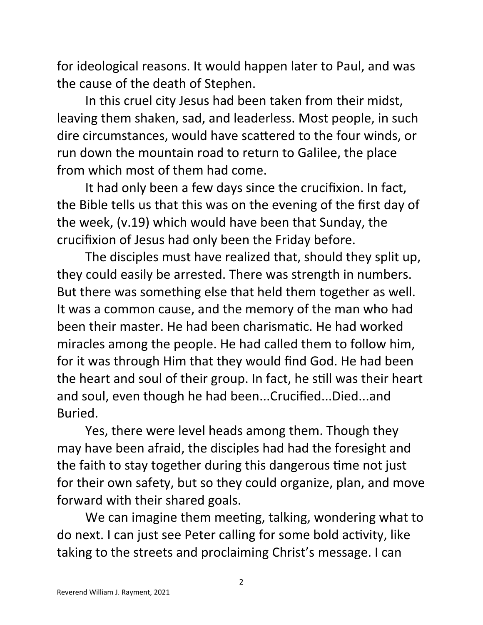for ideological reasons. It would happen later to Paul, and was the cause of the death of Stephen.

In this cruel city Jesus had been taken from their midst, leaving them shaken, sad, and leaderless. Most people, in such dire circumstances, would have scattered to the four winds, or run down the mountain road to return to Galilee, the place from which most of them had come.

It had only been a few days since the crucifixion. In fact, the Bible tells us that this was on the evening of the first day of the week, (v.19) which would have been that Sunday, the crucifixion of Jesus had only been the Friday before.

The disciples must have realized that, should they split up, they could easily be arrested. There was strength in numbers. But there was something else that held them together as well. It was a common cause, and the memory of the man who had been their master. He had been charismatic. He had worked miracles among the people. He had called them to follow him, for it was through Him that they would find God. He had been the heart and soul of their group. In fact, he still was their heart and soul, even though he had been...Crucified...Died...and Buried.

Yes, there were level heads among them. Though they may have been afraid, the disciples had had the foresight and the faith to stay together during this dangerous time not just for their own safety, but so they could organize, plan, and move forward with their shared goals.

We can imagine them meeting, talking, wondering what to do next. I can just see Peter calling for some bold activity, like taking to the streets and proclaiming Christ's message. I can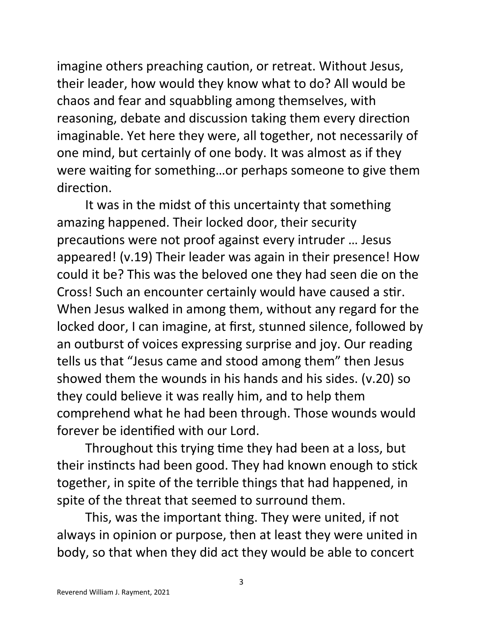imagine others preaching caution, or retreat. Without Jesus, their leader, how would they know what to do? All would be chaos and fear and squabbling among themselves, with reasoning, debate and discussion taking them every direction imaginable. Yet here they were, all together, not necessarily of one mind, but certainly of one body. It was almost as if they were waiting for something…or perhaps someone to give them direction.

It was in the midst of this uncertainty that something amazing happened. Their locked door, their security precautions were not proof against every intruder … Jesus appeared! (v.19) Their leader was again in their presence! How could it be? This was the beloved one they had seen die on the Cross! Such an encounter certainly would have caused a stir. When Jesus walked in among them, without any regard for the locked door, I can imagine, at first, stunned silence, followed by an outburst of voices expressing surprise and joy. Our reading tells us that "Jesus came and stood among them" then Jesus showed them the wounds in his hands and his sides. (v.20) so they could believe it was really him, and to help them comprehend what he had been through. Those wounds would forever be identified with our Lord.

Throughout this trying time they had been at a loss, but their instincts had been good. They had known enough to stick together, in spite of the terrible things that had happened, in spite of the threat that seemed to surround them.

This, was the important thing. They were united, if not always in opinion or purpose, then at least they were united in body, so that when they did act they would be able to concert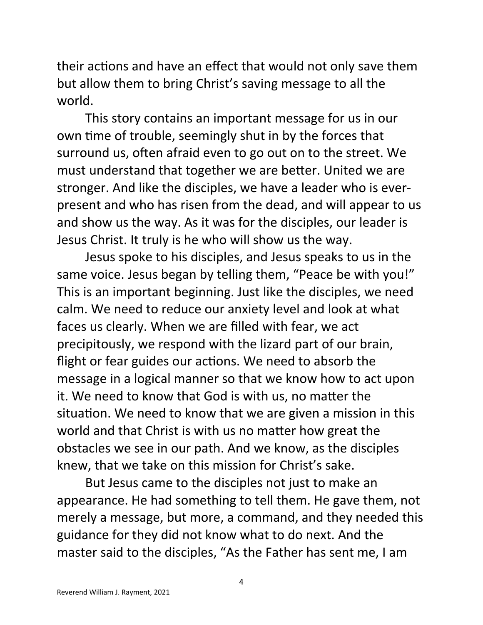their actions and have an effect that would not only save them but allow them to bring Christ's saving message to all the world.

This story contains an important message for us in our own time of trouble, seemingly shut in by the forces that surround us, often afraid even to go out on to the street. We must understand that together we are better. United we are stronger. And like the disciples, we have a leader who is everpresent and who has risen from the dead, and will appear to us and show us the way. As it was for the disciples, our leader is Jesus Christ. It truly is he who will show us the way.

Jesus spoke to his disciples, and Jesus speaks to us in the same voice. Jesus began by telling them, "Peace be with you!" This is an important beginning. Just like the disciples, we need calm. We need to reduce our anxiety level and look at what faces us clearly. When we are filled with fear, we act precipitously, we respond with the lizard part of our brain, flight or fear guides our actions. We need to absorb the message in a logical manner so that we know how to act upon it. We need to know that God is with us, no matter the situation. We need to know that we are given a mission in this world and that Christ is with us no matter how great the obstacles we see in our path. And we know, as the disciples knew, that we take on this mission for Christ's sake.

But Jesus came to the disciples not just to make an appearance. He had something to tell them. He gave them, not merely a message, but more, a command, and they needed this guidance for they did not know what to do next. And the master said to the disciples, "As the Father has sent me, I am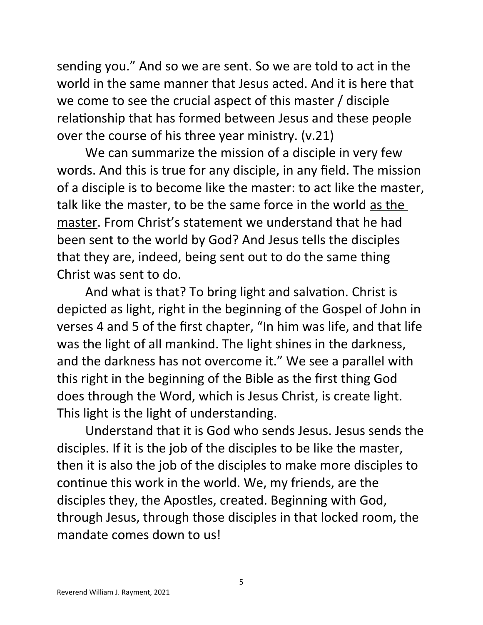sending you." And so we are sent. So we are told to act in the world in the same manner that Jesus acted. And it is here that we come to see the crucial aspect of this master / disciple relationship that has formed between Jesus and these people over the course of his three year ministry. (v.21)

We can summarize the mission of a disciple in very few words. And this is true for any disciple, in any field. The mission of a disciple is to become like the master: to act like the master, talk like the master, to be the same force in the world as the master. From Christ's statement we understand that he had been sent to the world by God? And Jesus tells the disciples that they are, indeed, being sent out to do the same thing Christ was sent to do.

And what is that? To bring light and salvation. Christ is depicted as light, right in the beginning of the Gospel of John in verses 4 and 5 of the first chapter, "In him was life, and that life was the light of all mankind. The light shines in the darkness, and the darkness has not overcome it." We see a parallel with this right in the beginning of the Bible as the first thing God does through the Word, which is Jesus Christ, is create light. This light is the light of understanding.

Understand that it is God who sends Jesus. Jesus sends the disciples. If it is the job of the disciples to be like the master, then it is also the job of the disciples to make more disciples to continue this work in the world. We, my friends, are the disciples they, the Apostles, created. Beginning with God, through Jesus, through those disciples in that locked room, the mandate comes down to us!